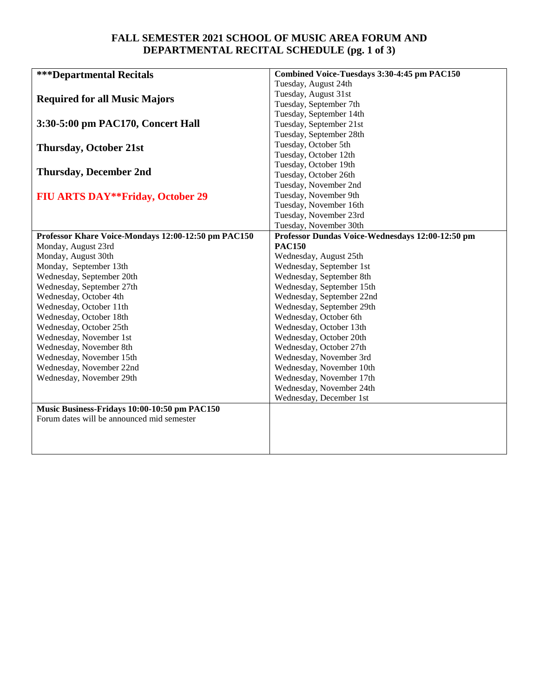## **FALL SEMESTER 2021 SCHOOL OF MUSIC AREA FORUM AND DEPARTMENTAL RECITAL SCHEDULE (pg. 1 of 3)**

| <b>***Departmental Recitals</b>                     | Combined Voice-Tuesdays 3:30-4:45 pm PAC150      |
|-----------------------------------------------------|--------------------------------------------------|
|                                                     | Tuesday, August 24th                             |
| <b>Required for all Music Majors</b>                | Tuesday, August 31st                             |
|                                                     | Tuesday, September 7th                           |
|                                                     | Tuesday, September 14th                          |
| 3:30-5:00 pm PAC170, Concert Hall                   | Tuesday, September 21st                          |
|                                                     | Tuesday, September 28th                          |
| <b>Thursday, October 21st</b>                       | Tuesday, October 5th                             |
|                                                     | Tuesday, October 12th                            |
|                                                     | Tuesday, October 19th                            |
| <b>Thursday, December 2nd</b>                       | Tuesday, October 26th                            |
|                                                     | Tuesday, November 2nd                            |
| <b>FIU ARTS DAY**Friday, October 29</b>             | Tuesday, November 9th                            |
|                                                     | Tuesday, November 16th                           |
|                                                     | Tuesday, November 23rd                           |
|                                                     | Tuesday, November 30th                           |
| Professor Khare Voice-Mondays 12:00-12:50 pm PAC150 | Professor Dundas Voice-Wednesdays 12:00-12:50 pm |
| Monday, August 23rd                                 | <b>PAC150</b>                                    |
| Monday, August 30th                                 | Wednesday, August 25th                           |
| Monday, September 13th                              | Wednesday, September 1st                         |
| Wednesday, September 20th                           | Wednesday, September 8th                         |
| Wednesday, September 27th                           | Wednesday, September 15th                        |
| Wednesday, October 4th                              | Wednesday, September 22nd                        |
| Wednesday, October 11th                             | Wednesday, September 29th                        |
| Wednesday, October 18th                             | Wednesday, October 6th                           |
| Wednesday, October 25th                             | Wednesday, October 13th                          |
| Wednesday, November 1st                             | Wednesday, October 20th                          |
| Wednesday, November 8th                             | Wednesday, October 27th                          |
| Wednesday, November 15th                            | Wednesday, November 3rd                          |
| Wednesday, November 22nd                            | Wednesday, November 10th                         |
| Wednesday, November 29th                            | Wednesday, November 17th                         |
|                                                     | Wednesday, November 24th                         |
|                                                     | Wednesday, December 1st                          |
| Music Business-Fridays 10:00-10:50 pm PAC150        |                                                  |
| Forum dates will be announced mid semester          |                                                  |
|                                                     |                                                  |
|                                                     |                                                  |
|                                                     |                                                  |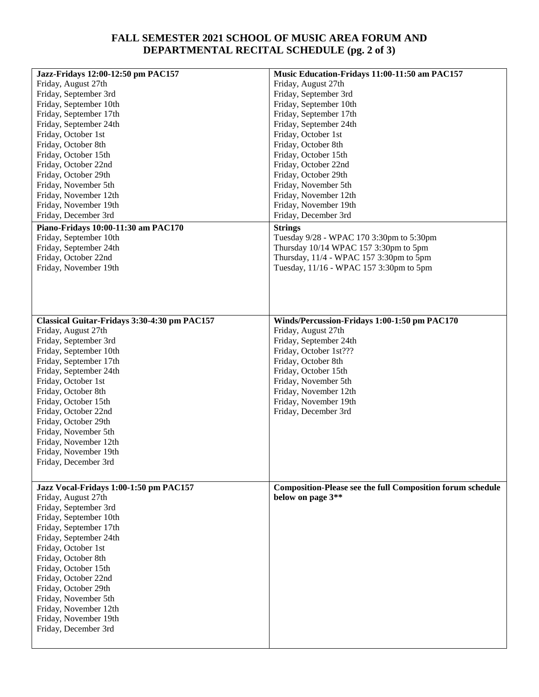## **FALL SEMESTER 2021 SCHOOL OF MUSIC AREA FORUM AND DEPARTMENTAL RECITAL SCHEDULE (pg. 2 of 3)**

| Jazz-Fridays 12:00-12:50 pm PAC157                            | Music Education-Fridays 11:00-11:50 am PAC157                     |
|---------------------------------------------------------------|-------------------------------------------------------------------|
| Friday, August 27th                                           | Friday, August 27th                                               |
| Friday, September 3rd                                         | Friday, September 3rd                                             |
| Friday, September 10th                                        | Friday, September 10th                                            |
| Friday, September 17th                                        | Friday, September 17th                                            |
| Friday, September 24th                                        | Friday, September 24th                                            |
| Friday, October 1st                                           | Friday, October 1st                                               |
| Friday, October 8th                                           | Friday, October 8th                                               |
| Friday, October 15th                                          | Friday, October 15th                                              |
| Friday, October 22nd                                          | Friday, October 22nd                                              |
| Friday, October 29th                                          | Friday, October 29th                                              |
| Friday, November 5th                                          | Friday, November 5th                                              |
| Friday, November 12th                                         | Friday, November 12th                                             |
| Friday, November 19th                                         | Friday, November 19th                                             |
| Friday, December 3rd                                          | Friday, December 3rd                                              |
|                                                               |                                                                   |
| Piano-Fridays 10:00-11:30 am PAC170<br>Friday, September 10th | <b>Strings</b><br>Tuesday 9/28 - WPAC 170 3:30pm to 5:30pm        |
|                                                               |                                                                   |
| Friday, September 24th                                        | Thursday 10/14 WPAC 157 3:30pm to 5pm                             |
| Friday, October 22nd                                          | Thursday, 11/4 - WPAC 157 3:30pm to 5pm                           |
| Friday, November 19th                                         | Tuesday, 11/16 - WPAC 157 3:30pm to 5pm                           |
|                                                               |                                                                   |
|                                                               |                                                                   |
|                                                               |                                                                   |
|                                                               |                                                                   |
| Classical Guitar-Fridays 3:30-4:30 pm PAC157                  | Winds/Percussion-Fridays 1:00-1:50 pm PAC170                      |
| Friday, August 27th                                           | Friday, August 27th                                               |
| Friday, September 3rd                                         | Friday, September 24th                                            |
| Friday, September 10th                                        | Friday, October 1st???                                            |
| Friday, September 17th                                        | Friday, October 8th                                               |
| Friday, September 24th                                        | Friday, October 15th                                              |
| Friday, October 1st                                           | Friday, November 5th                                              |
| Friday, October 8th                                           | Friday, November 12th                                             |
| Friday, October 15th                                          | Friday, November 19th                                             |
| Friday, October 22nd                                          | Friday, December 3rd                                              |
| Friday, October 29th                                          |                                                                   |
| Friday, November 5th                                          |                                                                   |
| Friday, November 12th                                         |                                                                   |
| Friday, November 19th                                         |                                                                   |
| Friday, December 3rd                                          |                                                                   |
|                                                               |                                                                   |
| Jazz Vocal-Fridays 1:00-1:50 pm PAC157                        | <b>Composition-Please see the full Composition forum schedule</b> |
| Friday, August 27th                                           | below on page 3**                                                 |
| Friday, September 3rd                                         |                                                                   |
| Friday, September 10th                                        |                                                                   |
| Friday, September 17th                                        |                                                                   |
| Friday, September 24th                                        |                                                                   |
| Friday, October 1st                                           |                                                                   |
| Friday, October 8th                                           |                                                                   |
| Friday, October 15th                                          |                                                                   |
| Friday, October 22nd                                          |                                                                   |
| Friday, October 29th                                          |                                                                   |
| Friday, November 5th                                          |                                                                   |
| Friday, November 12th                                         |                                                                   |
| Friday, November 19th                                         |                                                                   |
| Friday, December 3rd                                          |                                                                   |
|                                                               |                                                                   |
|                                                               |                                                                   |